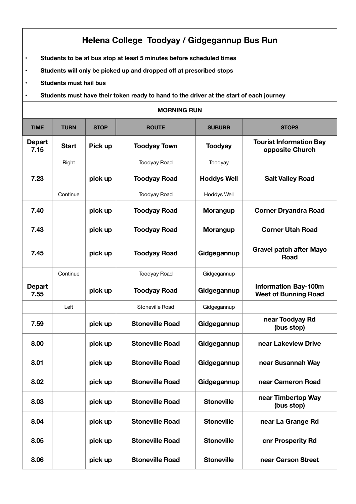## **Helena College Toodyay / Gidgegannup Bus Run**

- **Students to be at bus stop at least 5 minutes before scheduled times**
- **Students will only be picked up and dropped off at prescribed stops**
- **Students must hail bus**
- **Students must have their token ready to hand to the driver at the start of each journey**

## **MORNING RUN**

| <b>TIME</b>           | <b>TURN</b>  | <b>STOP</b> | <b>ROUTE</b>           | <b>SUBURB</b>      | <b>STOPS</b>                                               |
|-----------------------|--------------|-------------|------------------------|--------------------|------------------------------------------------------------|
| <b>Depart</b><br>7.15 | <b>Start</b> | Pick up     | <b>Toodyay Town</b>    | <b>Toodyay</b>     | <b>Tourist Information Bay</b><br>opposite Church          |
|                       | Right        |             | <b>Toodyay Road</b>    | Toodyay            |                                                            |
| 7.23                  |              | pick up     | <b>Toodyay Road</b>    | <b>Hoddys Well</b> | <b>Salt Valley Road</b>                                    |
|                       | Continue     |             | <b>Toodyay Road</b>    | Hoddys Well        |                                                            |
| 7.40                  |              | pick up     | <b>Toodyay Road</b>    | <b>Morangup</b>    | <b>Corner Dryandra Road</b>                                |
| 7.43                  |              | pick up     | <b>Toodyay Road</b>    | <b>Morangup</b>    | <b>Corner Utah Road</b>                                    |
| 7.45                  |              | pick up     | <b>Toodyay Road</b>    | Gidgegannup        | <b>Gravel patch after Mayo</b><br><b>Road</b>              |
|                       | Continue     |             | <b>Toodyay Road</b>    | Gidgegannup        |                                                            |
| Depart<br>7.55        |              | pick up     | <b>Toodyay Road</b>    | Gidgegannup        | <b>Information Bay-100m</b><br><b>West of Bunning Road</b> |
|                       | Left         |             | Stoneville Road        | Gidgegannup        |                                                            |
| 7.59                  |              | pick up     | <b>Stoneville Road</b> | Gidgegannup        | near Toodyay Rd<br>(bus stop)                              |
| 8.00                  |              | pick up     | <b>Stoneville Road</b> | Gidgegannup        | near Lakeview Drive                                        |
| 8.01                  |              | pick up     | <b>Stoneville Road</b> | Gidgegannup        | near Susannah Way                                          |
| 8.02                  |              | pick up     | <b>Stoneville Road</b> | Gidgegannup        | near Cameron Road                                          |
| 8.03                  |              | pick up     | <b>Stoneville Road</b> | <b>Stoneville</b>  | near Timbertop Way<br>(bus stop)                           |
| 8.04                  |              | pick up     | <b>Stoneville Road</b> | <b>Stoneville</b>  | near La Grange Rd                                          |
| 8.05                  |              | pick up     | <b>Stoneville Road</b> | <b>Stoneville</b>  | cnr Prosperity Rd                                          |
| 8.06                  |              | pick up     | <b>Stoneville Road</b> | <b>Stoneville</b>  | near Carson Street                                         |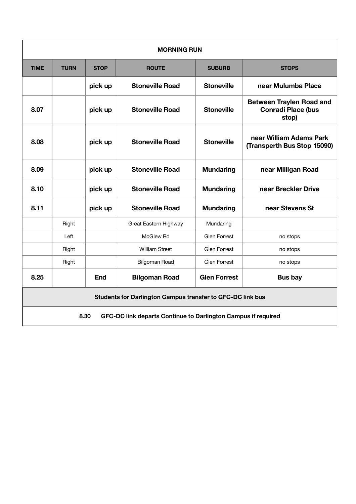| <b>MORNING RUN</b>                                                    |             |             |                        |                     |                                                                       |
|-----------------------------------------------------------------------|-------------|-------------|------------------------|---------------------|-----------------------------------------------------------------------|
| <b>TIME</b>                                                           | <b>TURN</b> | <b>STOP</b> | <b>ROUTE</b>           | <b>SUBURB</b>       | <b>STOPS</b>                                                          |
|                                                                       |             | pick up     | <b>Stoneville Road</b> | <b>Stoneville</b>   | near Mulumba Place                                                    |
| 8.07                                                                  |             | pick up     | <b>Stoneville Road</b> | <b>Stoneville</b>   | <b>Between Traylen Road and</b><br><b>Conradi Place (bus</b><br>stop) |
| 8.08                                                                  |             | pick up     | <b>Stoneville Road</b> | <b>Stoneville</b>   | near William Adams Park<br>(Transperth Bus Stop 15090)                |
| 8.09                                                                  |             | pick up     | <b>Stoneville Road</b> | <b>Mundaring</b>    | near Milligan Road                                                    |
| 8.10                                                                  |             | pick up     | <b>Stoneville Road</b> | <b>Mundaring</b>    | near Breckler Drive                                                   |
| 8.11                                                                  |             | pick up     | <b>Stoneville Road</b> | <b>Mundaring</b>    | near Stevens St                                                       |
|                                                                       | Right       |             | Great Eastern Highway  | Mundaring           |                                                                       |
|                                                                       | Left        |             | McGlew Rd              | <b>Glen Forrest</b> | no stops                                                              |
|                                                                       | Right       |             | <b>William Street</b>  | <b>Glen Forrest</b> | no stops                                                              |
|                                                                       | Right       |             | <b>Bilgoman Road</b>   | <b>Glen Forrest</b> | no stops                                                              |
| 8.25                                                                  |             | <b>End</b>  | <b>Bilgoman Road</b>   | <b>Glen Forrest</b> | <b>Bus bay</b>                                                        |
| <b>Students for Darlington Campus transfer to GFC-DC link bus</b>     |             |             |                        |                     |                                                                       |
| 8.30<br>GFC-DC link departs Continue to Darlington Campus if required |             |             |                        |                     |                                                                       |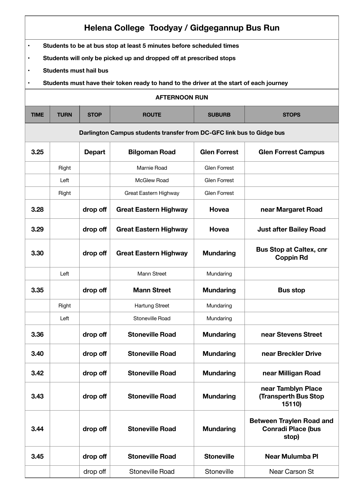| Helena College Toodyay / Gidgegannup Bus Run                                                                                                                                                                        |                                                                                         |               |                              |                     |                                                                       |  |  |  |
|---------------------------------------------------------------------------------------------------------------------------------------------------------------------------------------------------------------------|-----------------------------------------------------------------------------------------|---------------|------------------------------|---------------------|-----------------------------------------------------------------------|--|--|--|
| Students to be at bus stop at least 5 minutes before scheduled times<br>$\bullet$<br>Students will only be picked up and dropped off at prescribed stops<br>$\bullet$<br><b>Students must hail bus</b><br>$\bullet$ |                                                                                         |               |                              |                     |                                                                       |  |  |  |
| $\bullet$                                                                                                                                                                                                           | Students must have their token ready to hand to the driver at the start of each journey |               |                              |                     |                                                                       |  |  |  |
| <b>AFTERNOON RUN</b>                                                                                                                                                                                                |                                                                                         |               |                              |                     |                                                                       |  |  |  |
| <b>TIME</b>                                                                                                                                                                                                         | <b>TURN</b><br><b>ROUTE</b><br><b>STOP</b><br><b>SUBURB</b><br><b>STOPS</b>             |               |                              |                     |                                                                       |  |  |  |
|                                                                                                                                                                                                                     | Darlington Campus students transfer from DC-GFC link bus to Gidge bus                   |               |                              |                     |                                                                       |  |  |  |
| 3.25                                                                                                                                                                                                                |                                                                                         | <b>Depart</b> | <b>Bilgoman Road</b>         | <b>Glen Forrest</b> | <b>Glen Forrest Campus</b>                                            |  |  |  |
|                                                                                                                                                                                                                     | Right                                                                                   |               | Marnie Road                  | <b>Glen Forrest</b> |                                                                       |  |  |  |
|                                                                                                                                                                                                                     | Left                                                                                    |               | McGlew Road                  | Glen Forrest        |                                                                       |  |  |  |
|                                                                                                                                                                                                                     | Right                                                                                   |               | Great Eastern Highway        | Glen Forrest        |                                                                       |  |  |  |
| 3.28                                                                                                                                                                                                                |                                                                                         | drop off      | <b>Great Eastern Highway</b> | Hovea               | near Margaret Road                                                    |  |  |  |
| 3.29                                                                                                                                                                                                                |                                                                                         | drop off      | <b>Great Eastern Highway</b> | Hovea               | <b>Just after Bailey Road</b>                                         |  |  |  |
| 3.30                                                                                                                                                                                                                |                                                                                         | drop off      | <b>Great Eastern Highway</b> | <b>Mundaring</b>    | <b>Bus Stop at Caltex, cnr</b><br><b>Coppin Rd</b>                    |  |  |  |
|                                                                                                                                                                                                                     | Left                                                                                    |               | <b>Mann Street</b>           | Mundaring           |                                                                       |  |  |  |
| 3.35                                                                                                                                                                                                                |                                                                                         | drop off      | <b>Mann Street</b>           | <b>Mundaring</b>    | <b>Bus stop</b>                                                       |  |  |  |
|                                                                                                                                                                                                                     | Right                                                                                   |               | <b>Hartung Street</b>        | Mundaring           |                                                                       |  |  |  |
|                                                                                                                                                                                                                     | Left                                                                                    |               | Stoneville Road              | Mundaring           |                                                                       |  |  |  |
| 3.36                                                                                                                                                                                                                |                                                                                         | drop off      | <b>Stoneville Road</b>       | <b>Mundaring</b>    | near Stevens Street                                                   |  |  |  |
| 3.40                                                                                                                                                                                                                |                                                                                         | drop off      | <b>Stoneville Road</b>       | <b>Mundaring</b>    | near Breckler Drive                                                   |  |  |  |
| 3.42                                                                                                                                                                                                                |                                                                                         | drop off      | <b>Stoneville Road</b>       | <b>Mundaring</b>    | near Milligan Road                                                    |  |  |  |
| 3.43                                                                                                                                                                                                                |                                                                                         | drop off      | <b>Stoneville Road</b>       | <b>Mundaring</b>    | near Tamblyn Place<br><b>(Transperth Bus Stop</b><br>15110)           |  |  |  |
| 3.44                                                                                                                                                                                                                |                                                                                         | drop off      | <b>Stoneville Road</b>       | <b>Mundaring</b>    | <b>Between Traylen Road and</b><br><b>Conradi Place (bus</b><br>stop) |  |  |  |
| 3.45                                                                                                                                                                                                                |                                                                                         | drop off      | <b>Stoneville Road</b>       | <b>Stoneville</b>   | <b>Near Mulumba Pl</b>                                                |  |  |  |
|                                                                                                                                                                                                                     |                                                                                         | drop off      | <b>Stoneville Road</b>       | Stoneville          | Near Carson St                                                        |  |  |  |